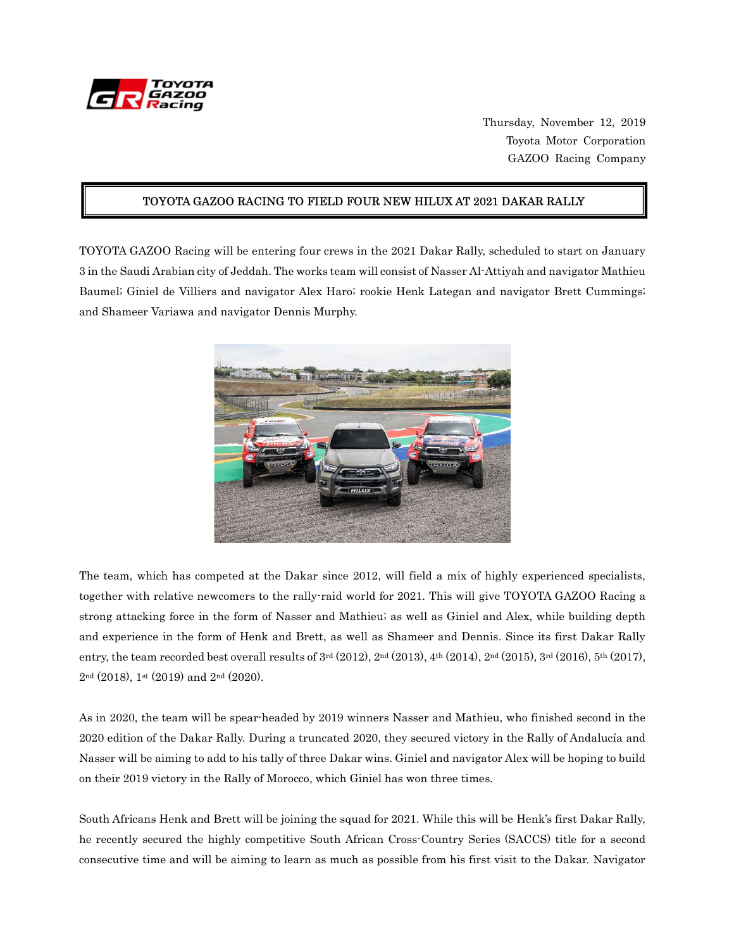

Thursday, November 12, 2019 Toyota Motor Corporation GAZOO Racing Company

#### TOYOTA GAZOO RACING TO FIELD FOUR NEW HILUX AT 2021 DAKAR RALLY

TOYOTA GAZOO Racing will be entering four crews in the 2021 Dakar Rally, scheduled to start on January 3 in the Saudi Arabian city of Jeddah. The works team will consist of Nasser Al-Attiyah and navigator Mathieu Baumel; Giniel de Villiers and navigator Alex Haro; rookie Henk Lategan and navigator Brett Cummings; and Shameer Variawa and navigator Dennis Murphy.



The team, which has competed at the Dakar since 2012, will field a mix of highly experienced specialists, together with relative newcomers to the rally-raid world for 2021. This will give TOYOTA GAZOO Racing a strong attacking force in the form of Nasser and Mathieu; as well as Giniel and Alex, while building depth and experience in the form of Henk and Brett, as well as Shameer and Dennis. Since its first Dakar Rally entry, the team recorded best overall results of  $3^{rd}$  (2012),  $2^{nd}$  (2013),  $4^{th}$  (2014),  $2^{nd}$  (2015),  $3^{rd}$  (2016),  $5^{th}$  (2017), 2nd (2018), 1st (2019) and 2nd (2020).

As in 2020, the team will be spear-headed by 2019 winners Nasser and Mathieu, who finished second in the 2020 edition of the Dakar Rally. During a truncated 2020, they secured victory in the Rally of Andalucía and Nasser will be aiming to add to his tally of three Dakar wins. Giniel and navigator Alex will be hoping to build on their 2019 victory in the Rally of Morocco, which Giniel has won three times.

South Africans Henk and Brett will be joining the squad for 2021. While this will be Henk's first Dakar Rally, he recently secured the highly competitive South African Cross-Country Series (SACCS) title for a second consecutive time and will be aiming to learn as much as possible from his first visit to the Dakar. Navigator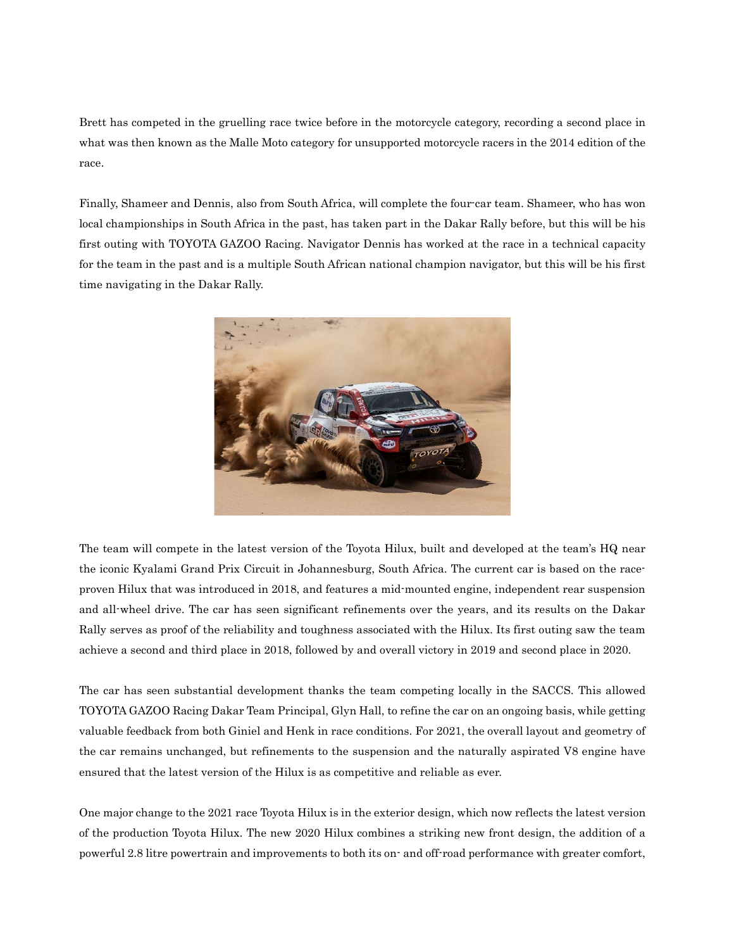Brett has competed in the gruelling race twice before in the motorcycle category, recording a second place in what was then known as the Malle Moto category for unsupported motorcycle racers in the 2014 edition of the race.

Finally, Shameer and Dennis, also from South Africa, will complete the four-car team. Shameer, who has won local championships in South Africa in the past, has taken part in the Dakar Rally before, but this will be his first outing with TOYOTA GAZOO Racing. Navigator Dennis has worked at the race in a technical capacity for the team in the past and is a multiple South African national champion navigator, but this will be his first time navigating in the Dakar Rally.



The team will compete in the latest version of the Toyota Hilux, built and developed at the team's HQ near the iconic Kyalami Grand Prix Circuit in Johannesburg, South Africa. The current car is based on the raceproven Hilux that was introduced in 2018, and features a mid-mounted engine, independent rear suspension and all-wheel drive. The car has seen significant refinements over the years, and its results on the Dakar Rally serves as proof of the reliability and toughness associated with the Hilux. Its first outing saw the team achieve a second and third place in 2018, followed by and overall victory in 2019 and second place in 2020.

The car has seen substantial development thanks the team competing locally in the SACCS. This allowed TOYOTA GAZOO Racing Dakar Team Principal, Glyn Hall, to refine the car on an ongoing basis, while getting valuable feedback from both Giniel and Henk in race conditions. For 2021, the overall layout and geometry of the car remains unchanged, but refinements to the suspension and the naturally aspirated V8 engine have ensured that the latest version of the Hilux is as competitive and reliable as ever.

One major change to the 2021 race Toyota Hilux is in the exterior design, which now reflects the latest version of the production Toyota Hilux. The new 2020 Hilux combines a striking new front design, the addition of a powerful 2.8 litre powertrain and improvements to both its on- and off-road performance with greater comfort,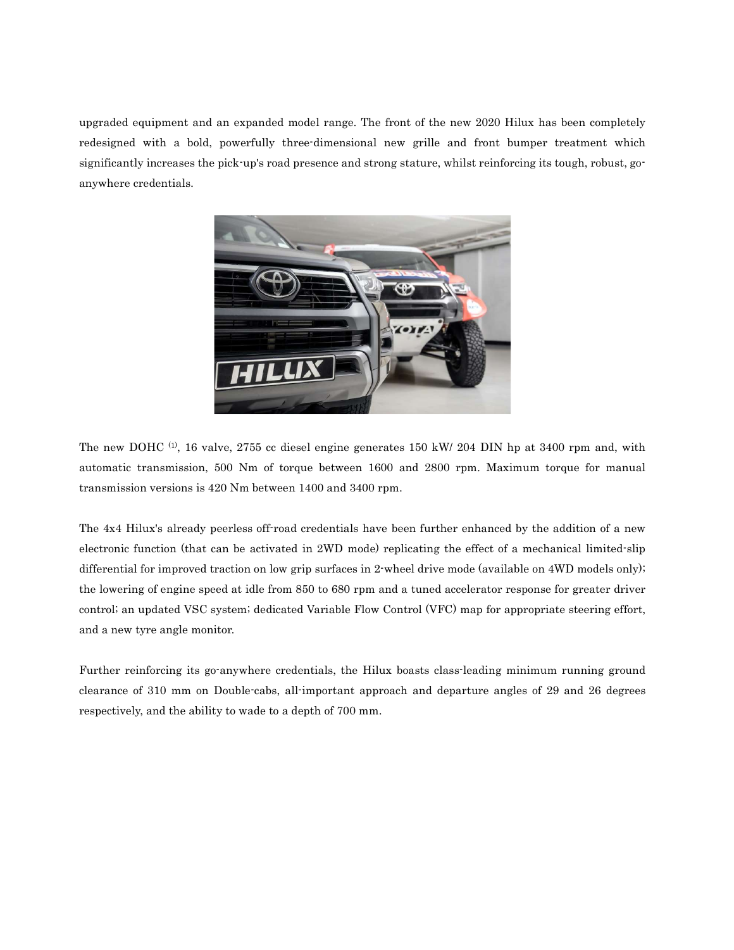upgraded equipment and an expanded model range. The front of the new 2020 Hilux has been completely redesigned with a bold, powerfully three-dimensional new grille and front bumper treatment which significantly increases the pick-up's road presence and strong stature, whilst reinforcing its tough, robust, goanywhere credentials.



The new DOHC  $(1)$ , 16 valve, 2755 cc diesel engine generates 150 kW/ 204 DIN hp at 3400 rpm and, with automatic transmission, 500 Nm of torque between 1600 and 2800 rpm. Maximum torque for manual transmission versions is 420 Nm between 1400 and 3400 rpm.

The 4x4 Hilux's already peerless off-road credentials have been further enhanced by the addition of a new electronic function (that can be activated in 2WD mode) replicating the effect of a mechanical limited-slip differential for improved traction on low grip surfaces in 2-wheel drive mode (available on 4WD models only); the lowering of engine speed at idle from 850 to 680 rpm and a tuned accelerator response for greater driver control; an updated VSC system; dedicated Variable Flow Control (VFC) map for appropriate steering effort, and a new tyre angle monitor.

Further reinforcing its go-anywhere credentials, the Hilux boasts class-leading minimum running ground clearance of 310 mm on Double-cabs, all-important approach and departure angles of 29 and 26 degrees respectively, and the ability to wade to a depth of 700 mm.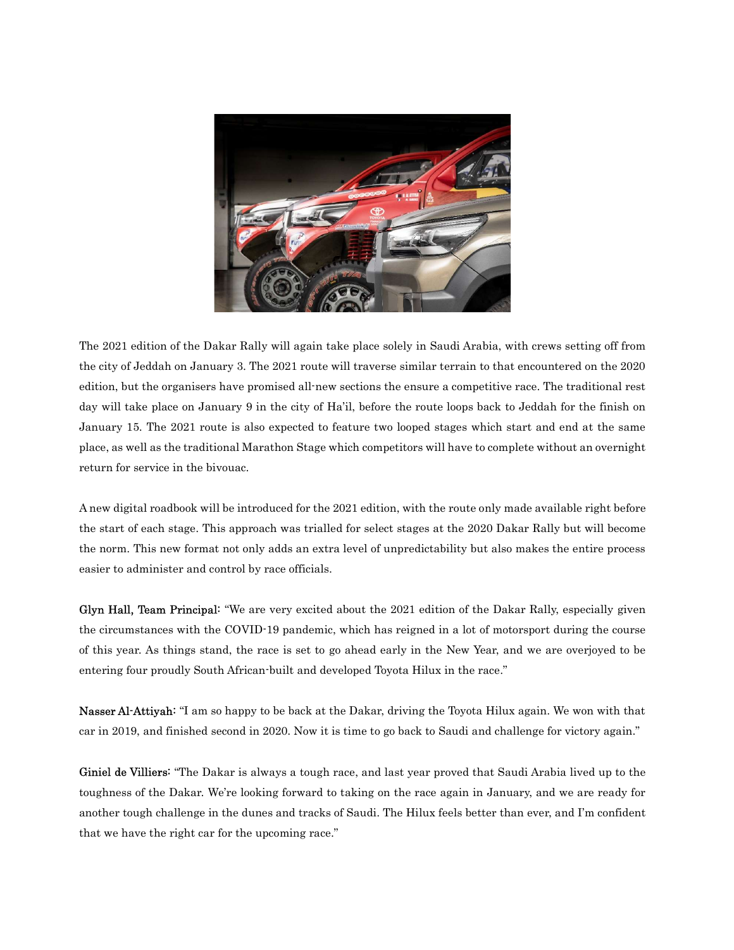

The 2021 edition of the Dakar Rally will again take place solely in Saudi Arabia, with crews setting off from the city of Jeddah on January 3. The 2021 route will traverse similar terrain to that encountered on the 2020 edition, but the organisers have promised all-new sections the ensure a competitive race. The traditional rest day will take place on January 9 in the city of Ha'il, before the route loops back to Jeddah for the finish on January 15. The 2021 route is also expected to feature two looped stages which start and end at the same place, as well as the traditional Marathon Stage which competitors will have to complete without an overnight return for service in the bivouac.

A new digital roadbook will be introduced for the 2021 edition, with the route only made available right before the start of each stage. This approach was trialled for select stages at the 2020 Dakar Rally but will become the norm. This new format not only adds an extra level of unpredictability but also makes the entire process easier to administer and control by race officials.

Glyn Hall, Team Principal: "We are very excited about the 2021 edition of the Dakar Rally, especially given the circumstances with the COVID-19 pandemic, which has reigned in a lot of motorsport during the course of this year. As things stand, the race is set to go ahead early in the New Year, and we are overjoyed to be entering four proudly South African-built and developed Toyota Hilux in the race."

Nasser Al-Attiyah: "I am so happy to be back at the Dakar, driving the Toyota Hilux again. We won with that car in 2019, and finished second in 2020. Now it is time to go back to Saudi and challenge for victory again."

Giniel de Villiers: "The Dakar is always a tough race, and last year proved that Saudi Arabia lived up to the toughness of the Dakar. We're looking forward to taking on the race again in January, and we are ready for another tough challenge in the dunes and tracks of Saudi. The Hilux feels better than ever, and I'm confident that we have the right car for the upcoming race."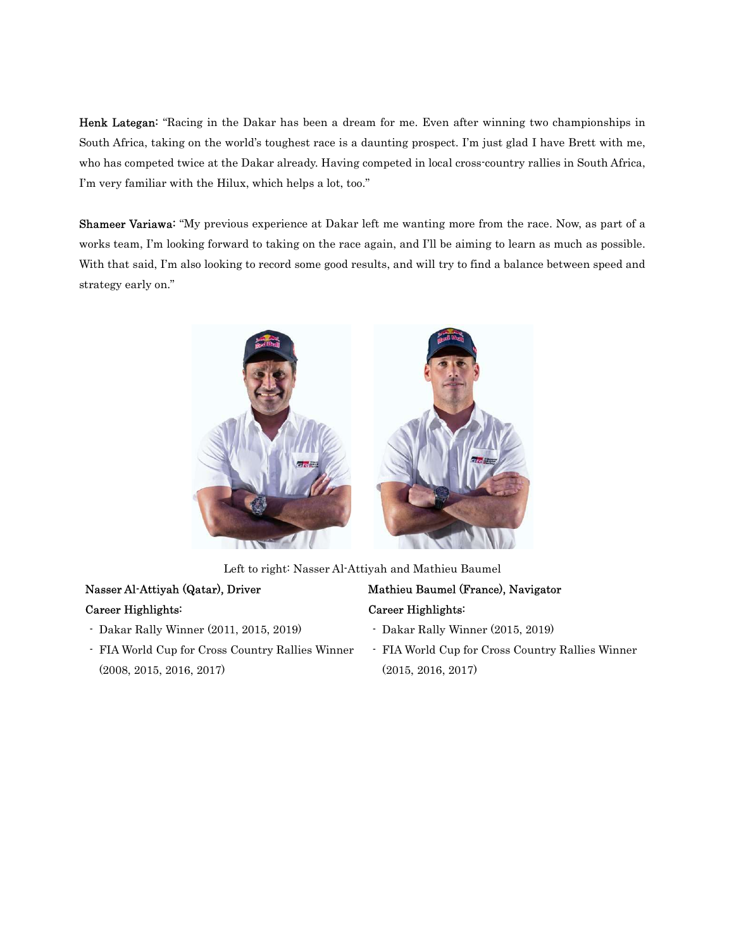Henk Lategan: "Racing in the Dakar has been a dream for me. Even after winning two championships in South Africa, taking on the world's toughest race is a daunting prospect. I'm just glad I have Brett with me, who has competed twice at the Dakar already. Having competed in local cross-country rallies in South Africa, I'm very familiar with the Hilux, which helps a lot, too."

Shameer Variawa: "My previous experience at Dakar left me wanting more from the race. Now, as part of a works team, I'm looking forward to taking on the race again, and I'll be aiming to learn as much as possible. With that said, I'm also looking to record some good results, and will try to find a balance between speed and strategy early on."



Left to right: Nasser Al-Attiyah and Mathieu Baumel

#### Nasser Al-Attiyah (Qatar), Driver Career Highlights:

- Dakar Rally Winner (2011, 2015, 2019)
- FIA World Cup for Cross Country Rallies Winner (2008, 2015, 2016, 2017)

# Mathieu Baumel (France), Navigator Career Highlights:

- Dakar Rally Winner (2015, 2019)
- FIA World Cup for Cross Country Rallies Winner (2015, 2016, 2017)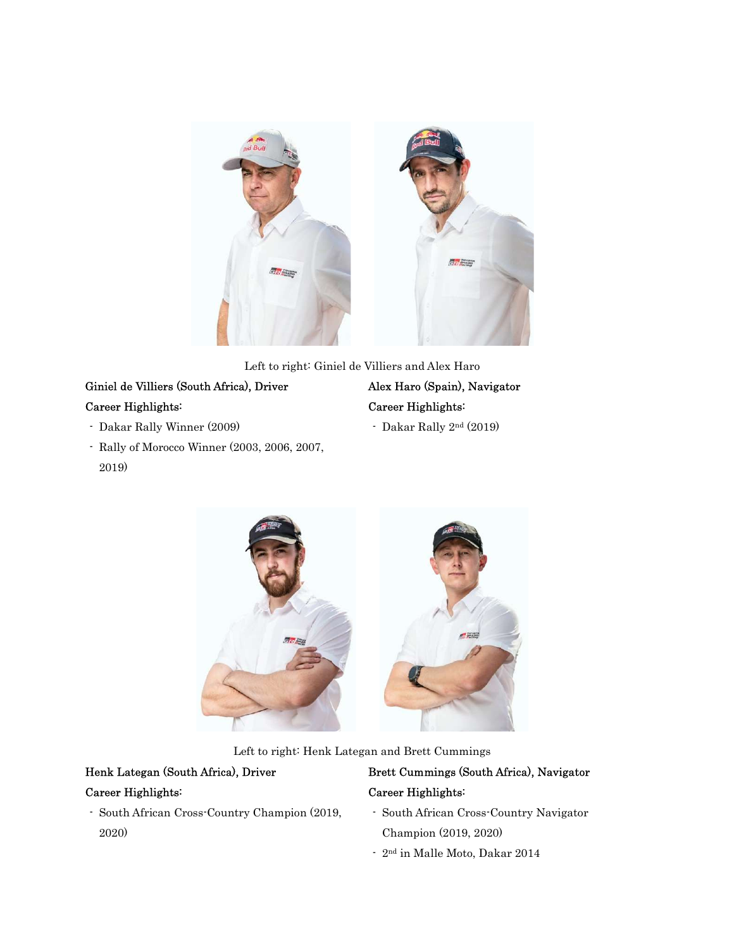

Left to right: Giniel de Villiers and Alex Haro

#### Giniel de Villiers (South Africa), Driver Career Highlights:

- Dakar Rally Winner (2009)
- Rally of Morocco Winner (2003, 2006, 2007, 2019)

# Alex Haro (Spain), Navigator Career Highlights:

- Dakar Rally 2nd (2019)



Left to right: Henk Lategan and Brett Cummings

# Henk Lategan (South Africa), Driver

#### Career Highlights:

- South African Cross-Country Champion (2019, 2020)

### Brett Cummings (South Africa), Navigator Career Highlights:

- South African Cross-Country Navigator Champion (2019, 2020)
- 2nd in Malle Moto, Dakar 2014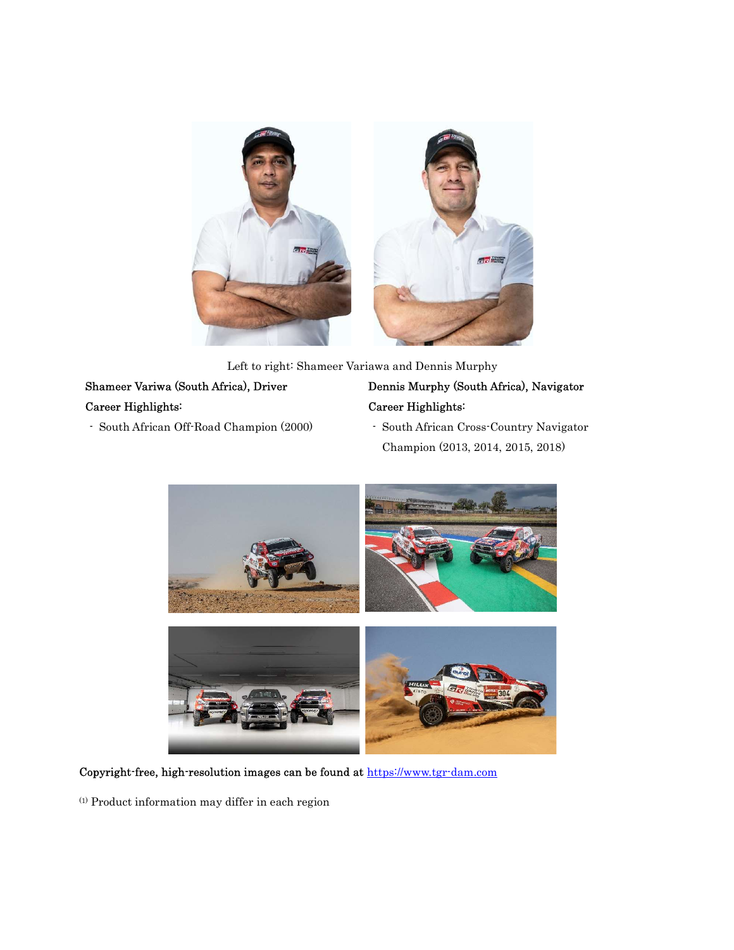

Left to right: Shameer Variawa and Dennis Murphy

# Shameer Variwa (South Africa), Driver Career Highlights:

- South African Off-Road Champion (2000)

# Dennis Murphy (South Africa), Navigator Career Highlights:

- South African Cross-Country Navigator Champion (2013, 2014, 2015, 2018)



Copyright-free, high-resolution images can be found at https://www.tgr-dam.com

 $(1)$  Product information may differ in each region